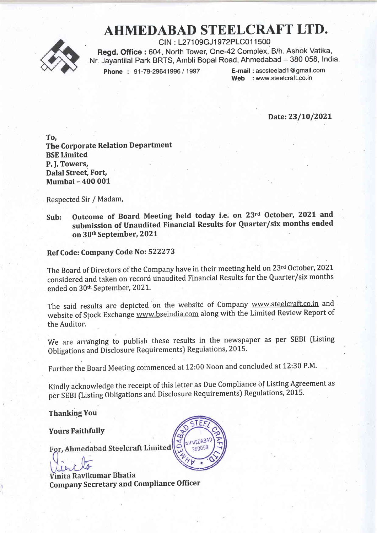# AHMEDABAD STEELCRAFT LTD.



CIN : L27109GJ1972PLC011500 Regd. Office: 604, North Tower, One-42 Complex, B/h. Ashok Vatika, Nr. Jayantilal Park BRTS, Ambli Bopal Road, Ahmedabad - 380 058, India.

Phone : 91-79-29641996 / 1997 **E-mail : ascsteelad1@gmail.com** Web : www.steelcraft.co.in

Date:23/I0/2O2L

To, The Corporate Relation Department BSE Limited P. J. Towers, Dalal Street, Fort Mumbai - 400 001

Respected Sir / Madam,

Sub: Outcome of Board Meeting held today i.e. on 23rd October, 2021 and submission of Unaudited Fihancial Results for Quarter/six months ended on 30<sup>th</sup> September, 2021

### Ref Code: Company Code No: 522273

The Board of Directors of the Company have in their meeting held on 23rd October, 2021 considered and taken on record unaudited Financial Results for the Quarter/six months ended on 30th September, 2021.

The said results are depicted on the website of Company www.steelcraft.co.in and website of Stock Exchange www.bseindia.com along with the Limited Review Report of the Auditor.

We are arranging to publish these results in the newspaper as per SEBI (Listing obligations and Disclosure Requirements) Regulations, 2015.

Further the Board Meeting commenced at 12:00 Noon and concluded at 12:30 P.M.

Kindly acknowledge the receipt of this letter as Due Compliance bf Listing Agreement as per SEBI (Listing Obligations and Disclosure Requirements) Regulations, 2015.

**Thanking You** 

Yours Faithfully

For, Ahmedabad Steelcraft Limited

nita Ravikumar Bhatia Company Secretary and Compliance Officer

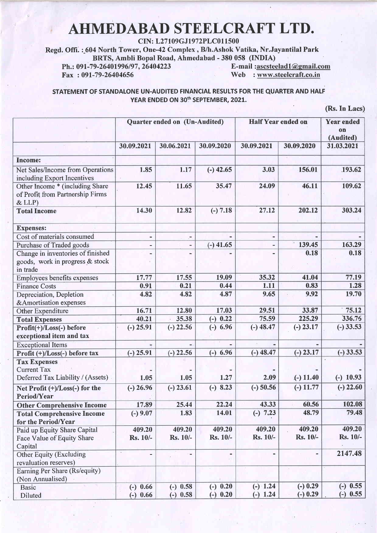# AHMEDABAD STEELCRAFT LTD.

CIN: L27109GJ1972PLC011500

Regd. Offi. :\_604 North Tower, One-42 Complex, B/h.Ashok Vatika, Nr.Jayantilal Park BRTS, Ambli Bopal Road, Ahmedabad - 380 058 (INDIA)<br>79-26401996/97, 26404223 E-mail :ascsteelad1@gmail.com

Ph.: 091-79-26401996/97, 26404223<br>Fax: 091-79-26404656

 $Web$ : www.steelcraft.co.in

STATEMENT OF STANDALONE UN-AUDITED FINANCIAL RESULTS FOR THE QUARTER AND HALF YEAR ENDED ON 30<sup>th</sup> SEPTEMBER, 2021.

(Rs.In Lacs)

|                                                                                  | Quarter ended on (Un-Audited) |                          | <b>Half Year ended on</b> |                              | <b>Year ended</b><br>0 <sub>n</sub><br>(Audited) |                          |
|----------------------------------------------------------------------------------|-------------------------------|--------------------------|---------------------------|------------------------------|--------------------------------------------------|--------------------------|
|                                                                                  | 30.09.2021                    | 30.06.2021               | 30.09.2020                | 30.09.2021                   | 30.09.2020                                       | 31.03.2021               |
| <b>Income:</b>                                                                   |                               |                          |                           |                              |                                                  |                          |
| Net Sales/Income from Operations<br>including Export Incentives                  | 1.85                          | 1.17                     | $(-)$ 42.65               | 3.03                         | 156.01                                           | 193.62                   |
| Other Income * (including Share<br>of Profit from Partnership Firms<br>& LLP)    | 12.45                         | 11.65                    | 35.47                     | 24.09                        | 46.11                                            | 109.62                   |
| <b>Total Income</b>                                                              | 14.30                         | 12.82                    | $(-) 7.18$                | 27.12                        | 202.12                                           | 303.24                   |
| <b>Expenses:</b>                                                                 |                               |                          |                           |                              |                                                  |                          |
| Cost of materials consumed                                                       | -                             | $\overline{\phantom{a}}$ |                           | $\qquad \qquad \blacksquare$ |                                                  |                          |
| Purchase of Traded goods                                                         |                               |                          | $(-)$ 41.65               |                              | 139.45                                           | 163.29                   |
| Change in inventories of finished<br>goods, work in progress & stock<br>in trade |                               |                          |                           |                              | 0.18                                             | 0.18                     |
| <b>Employees benefits expenses</b>                                               | 17.77                         | 17.55                    | 19.09                     | 35.32                        | 41.04                                            | 77.19                    |
| <b>Finance Costs</b>                                                             | 0.91                          | 0.21                     | 0.44                      | 1.11                         | 0.83                                             | 1.28                     |
| Depreciation, Depletion<br>&Amortisation expenses                                | 4.82                          | 4.82                     | 4.87                      | 9.65                         | 9.92                                             | 19.70                    |
| Other Expenditure                                                                | 16.71                         | 12.80                    | 17.03                     | 29.51                        | 33.87                                            | 75.12                    |
| <b>Total Expenses</b>                                                            | 40.21                         | 35.38                    | $(-) 0.22$                | 75.59                        | 225.29                                           | 336.76                   |
| Profit(+)/Loss(-) before<br>exceptional item and tax                             | $(-)$ 25.91                   | $(-)$ 22.56              | $(-)$ 6.96                | $(-)$ 48.47                  | $(-) 23.17$                                      | $(-)33.53$               |
| <b>Exceptional Items</b>                                                         |                               |                          |                           |                              |                                                  |                          |
| Profit (+)/Loss(-) before tax                                                    | $(-)$ 25.91                   | $(-)$ 22.56              | $(-)$ 6.96                | $(-)$ 48.47                  | $(-) 23.17$                                      | $(-)33.53$               |
| <b>Tax Expenses</b><br><b>Current Tax</b><br>Deferred Tax Liability / (Assets)   | 1.05                          | 1.05                     | 1.27                      | 2.09                         | $(-) 11.40$                                      | $(-)$ 10.93              |
| Net Profit (+)/Loss(-) for the                                                   | $(-)$ 26.96                   | $(-) 23.61$              | $(-) 8.23$                | $(-)$ 50.56                  | $(-) 11.77$                                      | $(-)$ 22.60              |
| Period/Year                                                                      |                               |                          |                           |                              |                                                  |                          |
| <b>Other Comprehensive Income</b>                                                | 17.89                         | 25.44                    | 22.24                     | 43.33                        | 60.56                                            | 102.08                   |
| <b>Total Comprehensive Income</b><br>for the Period/Year                         | $(-) 9.07$                    | 1.83                     | 14.01                     | $(-) 7.23$                   | 48.79                                            | 79.48                    |
| Paid up Equity Share Capital<br>Face Value of Equity Share<br>Capital            | 409.20<br>Rs. 10/-            | 409.20<br>Rs. 10/-       | 409.20<br>Rs. 10/-        | 409.20<br>Rs. 10/-           | 409.20<br>Rs. 10/-                               | 409.20<br>Rs. 10/-       |
| Other Equity (Excluding<br>revaluation reserves)                                 | $\overline{\phantom{0}}$      |                          | -                         | $\blacksquare$               | -                                                | 2147.48                  |
| Earning Per Share (Rs/equity)<br>(Non Annualised)                                |                               |                          |                           |                              |                                                  |                          |
| <b>Basic</b><br>Diluted                                                          | $(-)$ 0.66<br>$(-)$ 0.66      | $(-)$ 0.58<br>$(-) 0.58$ | $(-)$ 0.20<br>$(-)$ 0.20  | $(-) 1.24$<br>$(-) 1.24$     | $(-) 0.29$<br>$(-) 0.29$                         | $(-)$ 0.55<br>$(-)$ 0.55 |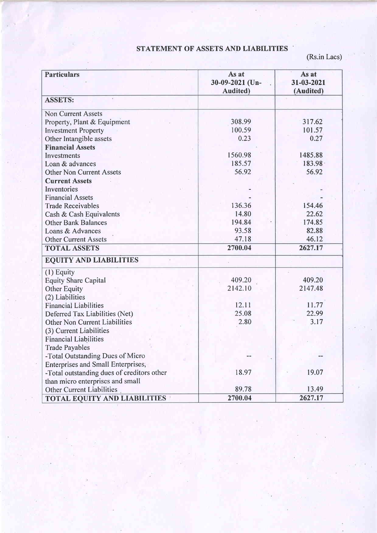## STATEMENT OF ASSETS AND LIABILITIES

(Rs.in Lacs)

| <b>Particulars</b>                         | As at<br>30-09-2021 (Un- | As at<br>31-03-2021 |  |
|--------------------------------------------|--------------------------|---------------------|--|
|                                            | Audited)                 | (Audited)           |  |
| <b>ASSETS:</b>                             |                          |                     |  |
| <b>Non Current Assets</b>                  |                          |                     |  |
| Property, Plant & Equipment                | 308.99                   | 317.62              |  |
| <b>Investment Property</b>                 | 100.59                   | 101.57              |  |
| Other Intangible assets                    | 0.23                     | 0.27                |  |
| <b>Financial Assets</b>                    |                          |                     |  |
| Investments                                | 1560.98                  | 1485.88             |  |
| Loan & advances                            | 185.57                   | 183.98              |  |
| <b>Other Non Current Assets</b>            | 56.92                    | 56.92               |  |
| <b>Current Assets</b>                      |                          |                     |  |
| Inventories                                |                          |                     |  |
| <b>Financial Assets</b>                    |                          |                     |  |
| <b>Trade Receivables</b>                   | 136.36                   | 154.46              |  |
| Cash & Cash Equivalents                    | 14.80                    | 22.62               |  |
| <b>Other Bank Balances</b>                 | 194.84                   | 174.85              |  |
| Loans & Advances                           | 93.58                    | 82.88               |  |
| <b>Other Current Assets</b>                | 47.18                    | 46.12               |  |
| <b>TOTAL ASSETS</b>                        | 2700.04                  | 2627.17             |  |
| <b>EQUITY AND LIABILITIES</b>              |                          |                     |  |
| $(1)$ Equity                               |                          |                     |  |
| <b>Equity Share Capital</b>                | 409.20                   | 409.20              |  |
| <b>Other Equity</b>                        | 2142.10                  | 2147.48             |  |
| (2) Liabilities                            |                          |                     |  |
| <b>Financial Liabilities</b>               | 12.11                    | 11.77               |  |
| Deferred Tax Liabilities (Net)             | 25.08                    | 22.99               |  |
| <b>Other Non Current Liabilities</b>       | 2.80                     | 3.17                |  |
| (3) Current Liabilities                    |                          |                     |  |
| <b>Financial Liabilities</b>               |                          |                     |  |
| <b>Trade Payables</b>                      |                          |                     |  |
| -Total Outstanding Dues of Micro           |                          |                     |  |
| Enterprises and Small Enterprises,         |                          |                     |  |
| -Total outstanding dues of creditors other | 18.97                    | 19.07               |  |
| than micro enterprises and small           |                          |                     |  |
| <b>Other Current Liabilities</b>           | 89.78                    | 13.49               |  |
| <b>TOTAL EQUITY AND LIABILITIES</b>        | 2700.04                  | 2627.17             |  |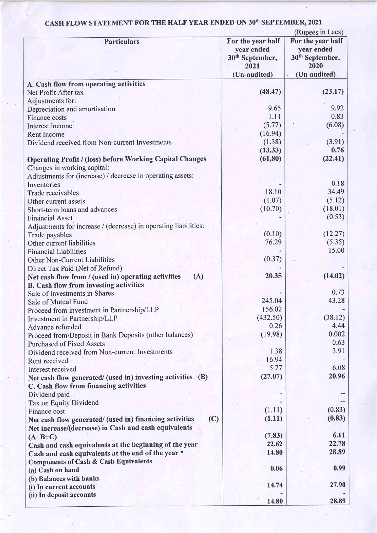#### (Rupees in Lacs) Particulars **For the year half** year ended 30th September, 2021 (Un-audited) For the year half year ended 30<sup>th</sup> September, 2020 (Un-audited) A. Cash flow from operating activities Net Profit After tax Adjustments for: Depreciation and amortisation Finance costs Interest income Rent Income Dividend received from Non-current Investments Operating Profit / (loss) before Working Capital Changes Changes in working capital: Adjustments for (increase) / decrease in operating assets: Inventories Trade receivables Other current assets Short-term loans and advances Financial Asset Adjustments for increase / (decrease) in operating liabilities: Trade payables Other current liabilities Financial Liabilities Other Non-Current Liabilities Direct Tax Paid (Net of Refund) Net cash flow from / (used in) operating activities (A) B. Cash flow from investing activities Sale of Investments in Shares Sale of Mutual Fund Proceed from investment in Partnership/LlP Investment in Partnership/LLP Advance refunded Proceed from\Deposit in Bank Deposits (other balances) Purchased of Fixed Assets Dividend received from Non-current lnvestments Rent received Interest received Net cash flow generated/ (used in) investing activities (B) C. Cash flow from financing activities Dividend paid . Tax on Equity Dividend Finance cost Net cash flow generated/ (used in) financing activities (C) Net increase/(decrease) in Cash and cash equivalents  $(A+B+C)$ Cash and cash equivalents at the beginning of the year Cash and cash equivalents at the end of the year \* Components of Cash & Cash Equivalents (a) Cash on hand (b) Balances with banks (i) In current accounts (ii) In deposit accounts (48.47) 9.65 l.1l (5.77)  $(16.94)$ (1.38) (13.33) (61,80) r8.10 (1.07)  $(10.70)$ (0.10) 76.29 (0.37) 20.35 245.04 156.02  $(432.50)$ 0.26  $(19.98)$ 1.38 . 16.94 5.77  $(27.07)$  $(1.11)$  $(1.11)$ (7,83) 22.62 14.80 0.06 14.74  $(23.17)$ 9.92 0.83 (6.08) (3.91) 0.76 (22.41) 0.18 34.49 (5.12) (18.01)  $(0.53)$  $(12.27)$ (5.3s) 15.00  $(14.02)$ 0.73 43.28 (38.12) 4.44 0.002 0.63 3.91 6.08 20.96 (0.83) (0.83) 6.11 22.78 28.89 0.99 27.90

14.80

28.89

## CASH FLOW STATEMENT FOR THE HALF YEAR ENDED ON 30<sup>th</sup> SEPTEMBER, 2021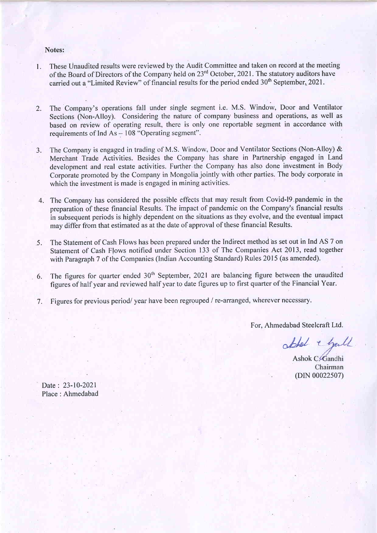### Notes:

- l. These Unaudited results were reviewed by the Audit Committee and taken on record at the meeting of the Board of Directors of the Company held on 23<sup>rd</sup> October, 2021. The statutory auditors have carried out a "Limited Review" of financial results for the period ended 30<sup>th</sup> September, 2021.
- 2. The Company's operations fall under single segment i.e. M.S. Window, Door and Ventilator Sections (Non-Alloy). Considering the nature of company business and operations, as well as based on review of operating result, there is only one reportable segment in accordance with requirements of Ind  $As - 108$  "Operating segment".
- 3. The Company is engaged in trading of M.S. Window, Door and Ventilator Sections (Non-Alloy) & Merchant Trade Activities. Besides the Company has share in Partnership engaged in Land development and real estate activities. Further the Company has also done investment in Body Corporate promoted by the Company in Mongolia jointly with other parties. The body corporate in which the investment is made is engaged in mining activities.
- 4. The Company has considered the possible effects that may result from Covid-I9.pandemic in the preparation of these financial Results. The impact of pandemic on the Company's financial results in subsequent periods is highly dependent on the situations as they evolve, and the eventual impact may differ from that estimated as at the date of approval of these financial Results.
- 5. The Statement of Cash Flows has been prepared under the Indirect method as set out in Ind AS 7 on Statement of Cash Flows notified under Section 133 of The Companies Act 2013, read together with Paragraph 7 of the Companies (lndian Accounting Standard) Rules 2015 (as amended).
- The figures for quarter ended  $30<sup>th</sup>$  September, 2021 are balancing figure between the unaudited figures of half year and reviewed half year to date figures up to first quarter of the Financial Year. 6.
- Figures for previous period/ year have been regrouped / re-arranged, wherever necessary. 7.

For. Ahmedabad Steelcraft Ltd.

able & hall

Ashok C. Gandhi Chairman (DIN 00022507)

Date: 23-10-2021 Place : Ahmedabad